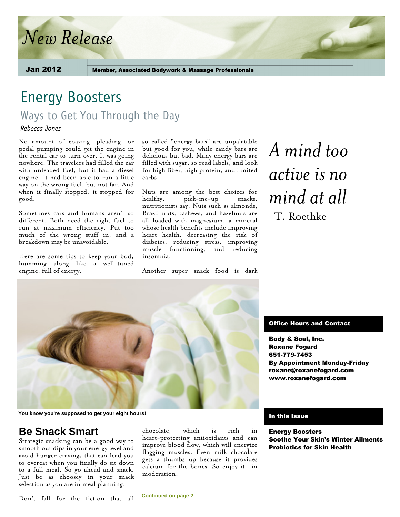# *New Release*

Jan 2012

**Member, Associated Bodywork & Massage Professionals** 

## Energy Boosters

Ways to Get You Through the Day

*Rebecca Jones* 

No amount of coaxing, pleading, or pedal pumping could get the engine in the rental car to turn over. It was going nowhere. The travelers had filled the car with unleaded fuel, but it had a diesel engine. It had been able to run a little way on the wrong fuel, but not far. And when it finally stopped, it stopped for good.

Sometimes cars and humans aren't so different. Both need the right fuel to run at maximum efficiency. Put too much of the wrong stuff in, and a breakdown may be unavoidable.

Here are some tips to keep your body humming along like a well-tuned engine, full of energy.

so-called "energy bars" are unpalatable but good for you, while candy bars are delicious but bad. Many energy bars are filled with sugar, so read labels, and look for high fiber, high protein, and limited carbs.

Nuts are among the best choices for<br>healthy. pick-me-up snacks. healthy, pick-me-up nutritionists say. Nuts such as almonds, Brazil nuts, cashews, and hazelnuts are all loaded with magnesium, a mineral whose health benefits include improving heart health, decreasing the risk of diabetes, reducing stress, improving muscle functioning, and reducing insomnia.

Another super snack food is dark

# *A mind too active is no mind at all* -T. Roethke



**You know you're supposed to get your eight hours!**

### **Be Snack Smart**

Strategic snacking can be a good way to smooth out dips in your energy level and avoid hunger cravings that can lead you to overeat when you finally do sit down to a full meal. So go ahead and snack. Just be as choosey in your snack selection as you are in meal planning.

Don't fall for the fiction that all

chocolate, which is rich in heart-protecting antioxidants and can improve blood flow, which will energize flagging muscles. Even milk chocolate gets a thumbs up because it provides calcium for the bones. So enjoy it--in moderation.

**Continued on page 2**

#### Office Hours and Contact

Body & Soul, Inc. Roxane Fogard 651-779-7453 By Appointment Monday-Friday roxane@roxanefogard.com www.roxanefogard.com

#### In this Issue

Energy Boosters Soothe Your Skin's Winter Ailments Probiotics for Skin Health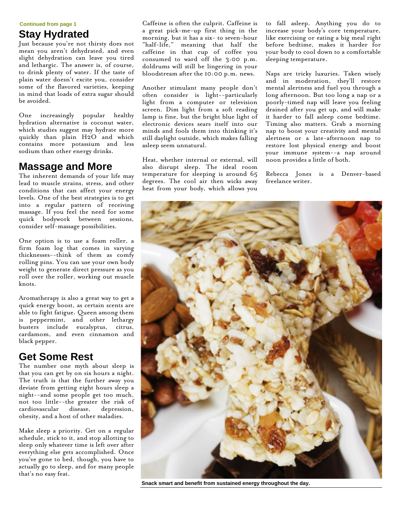**Continued from page 1**

## **Stay Hydrated**

Just because you're not thirsty does not mean you aren't dehydrated, and even slight dehydration can leave you tired and lethargic. The answer is, of course, to drink plenty of water. If the taste of plain water doesn't excite you, consider some of the flavored varieties, keeping in mind that loads of extra sugar should be avoided.

One increasingly popular healthy hydration alternative is coconut water, which studies suggest may hydrate more quickly than plain H2O and which contains more potassium and less sodium than other energy drinks.

### **Massage and More**

The inherent demands of your life may lead to muscle strains, stress, and other conditions that can affect your energy levels. One of the best strategies is to get into a regular pattern of receiving massage. If you feel the need for some quick bodywork between sessions, consider self-massage possibilities.

One option is to use a foam roller, a firm foam log that comes in varying thicknesses--think of them as comfy rolling pins. You can use your own body weight to generate direct pressure as you roll over the roller, working out muscle knots.

Aromatherapy is also a great way to get a quick energy boost, as certain scents are able to fight fatigue. Queen among them is peppermint, and other lethargy busters include eucalyptus, citrus, cardamom, and even cinnamon and black pepper.

### **Get Some Rest**

The number one myth about sleep is that you can get by on six hours a night. The truth is that the further away you deviate from getting eight hours sleep a night--and some people get too much, not too little--the greater the risk of cardiovascular disease, depression, obesity, and a host of other maladies.

Make sleep a priority. Get on a regular schedule, stick to it, and stop allotting to sleep only whatever time is left over after everything else gets accomplished. Once you've gone to bed, though, you have to actually go to sleep, and for many people that's no easy feat.

Caffeine is often the culprit. Caffeine is a great pick-me-up first thing in the morning, but it has a six- to seven-hour "half-life," meaning that half the caffeine in that cup of coffee you consumed to ward off the 3:00 p.m. doldrums will still be lingering in your bloodstream after the 10:00 p.m. news.

Another stimulant many people don't often consider is light--particularly light from a computer or television screen. Dim light from a soft reading lamp is fine, but the bright blue light of electronic devices sears itself into our minds and fools them into thinking it's still daylight outside, which makes falling asleep seem unnatural.

Heat, whether internal or external, will also disrupt sleep. The ideal room temperature for sleeping is around 65 degrees. The cool air then wicks away heat from your body, which allows you to fall asleep. Anything you do to increase your body's core temperature, like exercising or eating a big meal right before bedtime, makes it harder for your body to cool down to a comfortable sleeping temperature.

Naps are tricky luxuries. Taken wisely and in moderation, they'll restore mental alertness and fuel you through a long afternoon. But too long a nap or a poorly-timed nap will leave you feeling drained after you get up, and will make it harder to fall asleep come bedtime. Timing also matters. Grab a morning nap to boost your creativity and mental alertness or a late-afternoon nap to restore lost physical energy and boost your immune system--a nap around noon provides a little of both.

Rebecca Jones is a Denver-based freelance writer.



**Snack smart and benefit from sustained energy throughout the day.**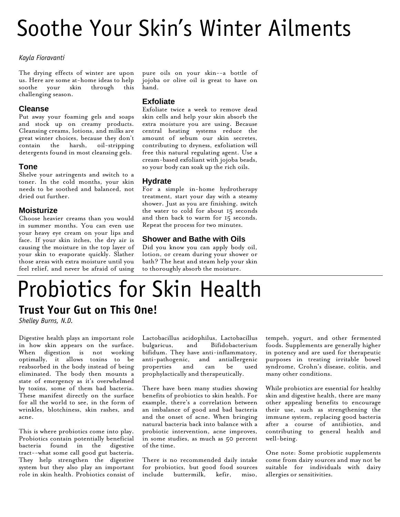# Soothe Your Skin's Winter Ailments

#### *Kayla Fioravanti*

The drying effects of winter are upon us. Here are some at-home ideas to help<br>soothe your skin through this soothe your skin through challenging season.

#### **Cleanse**

Put away your foaming gels and soaps and stock up on creamy products. Cleansing creams, lotions, and milks are great winter choices, because they don't contain the harsh, oil-stripping detergents found in most cleansing gels.

#### **Tone**

Shelve your astringents and switch to a toner. In the cold months, your skin needs to be soothed and balanced, not dried out further.

#### **Moisturize**

Choose heavier creams than you would in summer months. You can even use your heavy eye cream on your lips and face. If your skin itches, the dry air is causing the moisture in the top layer of your skin to evaporate quickly. Slather those areas with extra moisture until you feel relief, and never be afraid of using

pure oils on your skin--a bottle of jojoba or olive oil is great to have on hand.

#### **Exfoliate**

Exfoliate twice a week to remove dead skin cells and help your skin absorb the extra moisture you are using. Because central heating systems reduce the amount of sebum our skin secretes, contributing to dryness, exfoliation will free this natural regulating agent. Use a cream-based exfoliant with jojoba beads, so your body can soak up the rich oils.

#### **Hydrate**

For a simple in-home hydrotherapy treatment, start your day with a steamy shower. Just as you are finishing, switch the water to cold for about 15 seconds and then back to warm for 15 seconds. Repeat the process for two minutes.

#### **Shower and Bathe with Oils**

Did you know you can apply body oil, lotion, or cream during your shower or bath? The heat and steam help your skin to thoroughly absorb the moisture.

## Probiotics for Skin Health **Trust Your Gut on This One!**

*Shelley Burns, N.D.* 

Digestive health plays an important role in how skin appears on the surface. When digestion is not working optimally, it allows toxins to be reabsorbed in the body instead of being eliminated. The body then mounts a state of emergency as it's overwhelmed by toxins, some of them bad bacteria. These manifest directly on the surface for all the world to see, in the form of wrinkles, blotchiness, skin rashes, and acne.

This is where probiotics come into play. Probiotics contain potentially beneficial bacteria found in the digestive tract--what some call good gut bacteria. They help strengthen the digestive system but they also play an important role in skin health. Probiotics consist of

Lactobacillus acidophilus, Lactobacillus bulgaricus, and Bifidobacterium bifidum. They have anti-inflammatory, anti-pathogenic, and antiallergenic properties and can be used prophylactically and therapeutically.

There have been many studies showing benefits of probiotics to skin health. For example, there's a correlation between an imbalance of good and bad bacteria and the onset of acne. When bringing natural bacteria back into balance with a probiotic intervention, acne improves, in some studies, as much as 50 percent of the time.

There is no recommended daily intake for probiotics, but good food sources include buttermilk, kefir, miso,

tempeh, yogurt, and other fermented foods. Supplements are generally higher in potency and are used for therapeutic purposes in treating irritable bowel syndrome, Crohn's disease, colitis, and many other conditions.

While probiotics are essential for healthy skin and digestive health, there are many other appealing benefits to encourage their use, such as strengthening the immune system, replacing good bacteria after a course of antibiotics, and contributing to general health and well-being.

One note: Some probiotic supplements come from dairy sources and may not be suitable for individuals with dairy allergies or sensitivities.